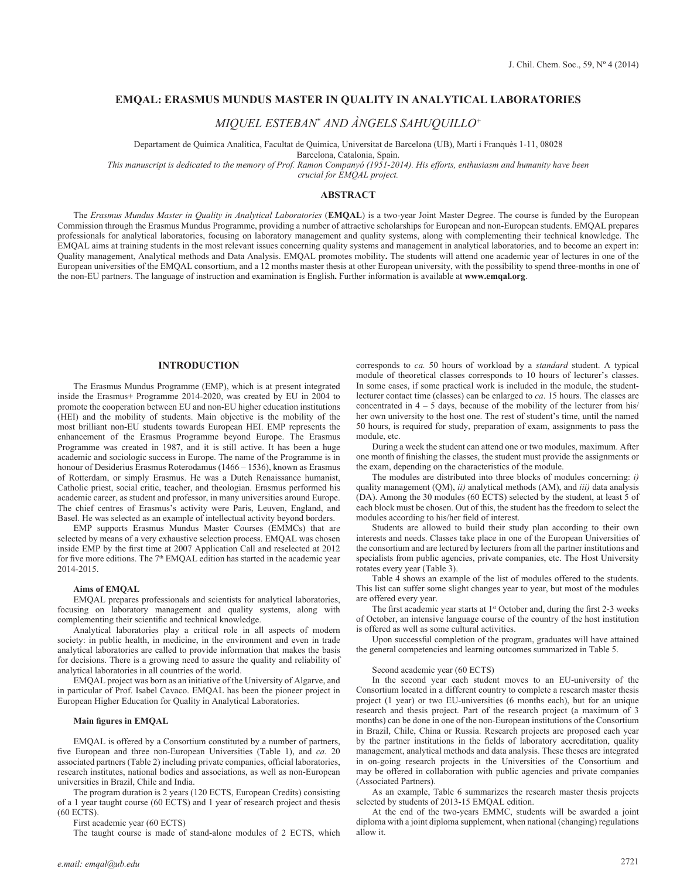# **EMQAL: ERASMUS MUNDUS MASTER IN QUALITY IN ANALYTICAL LABORATORIES**

*MIQUEL ESTEBAN\* AND ÀNGELS SAHUQUILLO+*

Departament de Química Analítica, Facultat de Química, Universitat de Barcelona (UB), Martí i Franquès 1-11, 08028

Barcelona, Catalonia, Spain.

*This manuscript is dedicated to the memory of Prof. Ramon Companyó (1951-2014). His efforts, enthusiasm and humanity have been*

*crucial for EMQAL project.* 

# **ABSTRACT**

The *Erasmus Mundus Master in Quality in Analytical Laboratories* (**EMQAL**) is a two-year Joint Master Degree. The course is funded by the European Commission through the Erasmus Mundus Programme, providing a number of attractive scholarships for European and non-European students. EMQAL prepares professionals for analytical laboratories, focusing on laboratory management and quality systems, along with complementing their technical knowledge. The EMQAL aims at training students in the most relevant issues concerning quality systems and management in analytical laboratories, and to become an expert in: Quality management, Analytical methods and Data Analysis. EMQAL promotes mobility**.** The students will attend one academic year of lectures in one of the European universities of the EMQAL consortium, and a 12 months master thesis at other European university, with the possibility to spend three-months in one of the non-EU partners. The language of instruction and examination is English**.** Further information is available at **www.emqal.org**.

# **INTRODUCTION**

The Erasmus Mundus Programme (EMP), which is at present integrated inside the Erasmus+ Programme 2014-2020, was created by EU in 2004 to promote the cooperation between EU and non-EU higher education institutions (HEI) and the mobility of students. Main objective is the mobility of the most brilliant non-EU students towards European HEI. EMP represents the enhancement of the Erasmus Programme beyond Europe. The Erasmus Programme was created in 1987, and it is still active. It has been a huge academic and sociologic success in Europe. The name of the Programme is in honour of Desiderius Erasmus Roterodamus (1466 – 1536), known as Erasmus of Rotterdam, or simply Erasmus. He was a Dutch Renaissance humanist, Catholic priest, social critic, teacher, and theologian. Erasmus performed his academic career, as student and professor, in many universities around Europe. The chief centres of Erasmus's activity were Paris, Leuven, England, and Basel. He was selected as an example of intellectual activity beyond borders.

EMP supports Erasmus Mundus Master Courses (EMMCs) that are selected by means of a very exhaustive selection process. EMQAL was chosen inside EMP by the first time at 2007 Application Call and reselected at 2012 for five more editions. The 7<sup>th</sup> EMQAL edition has started in the academic year 2014-2015.

# **Aims of EMQAL**

EMQAL prepares professionals and scientists for analytical laboratories, focusing on laboratory management and quality systems, along with complementing their scientific and technical knowledge.

Analytical laboratories play a critical role in all aspects of modern society: in public health, in medicine, in the environment and even in trade analytical laboratories are called to provide information that makes the basis for decisions. There is a growing need to assure the quality and reliability of analytical laboratories in all countries of the world.

EMQAL project was born as an initiative of the University of Algarve, and in particular of Prof. Isabel Cavaco. EMQAL has been the pioneer project in European Higher Education for Quality in Analytical Laboratories.

# **Main figures in EMQAL**

EMQAL is offered by a Consortium constituted by a number of partners, five European and three non-European Universities (Table 1), and *ca.* 20 associated partners (Table 2) including private companies, official laboratories, research institutes, national bodies and associations, as well as non-European universities in Brazil, Chile and India.

The program duration is 2 years (120 ECTS, European Credits) consisting of a 1 year taught course (60 ECTS) and 1 year of research project and thesis (60 ECTS).

First academic year (60 ECTS)

The taught course is made of stand-alone modules of 2 ECTS, which

corresponds to *ca.* 50 hours of workload by a *standard* student. A typical module of theoretical classes corresponds to 10 hours of lecturer's classes. In some cases, if some practical work is included in the module, the studentlecturer contact time (classes) can be enlarged to *ca*. 15 hours. The classes are concentrated in  $4 - 5$  days, because of the mobility of the lecturer from his/ her own university to the host one. The rest of student's time, until the named 50 hours, is required for study, preparation of exam, assignments to pass the module, etc.

During a week the student can attend one or two modules, maximum. After one month of finishing the classes, the student must provide the assignments or the exam, depending on the characteristics of the module.

The modules are distributed into three blocks of modules concerning: *i)*  quality management (QM), *ii)* analytical methods (AM), and *iii)* data analysis (DA). Among the 30 modules (60 ECTS) selected by the student, at least 5 of each block must be chosen. Out of this, the student has the freedom to select the modules according to his/her field of interest.

Students are allowed to build their study plan according to their own interests and needs. Classes take place in one of the European Universities of the consortium and are lectured by lecturers from all the partner institutions and specialists from public agencies, private companies, etc. The Host University rotates every year (Table 3).

Table 4 shows an example of the list of modules offered to the students. This list can suffer some slight changes year to year, but most of the modules are offered every year.

The first academic year starts at 1<sup>st</sup> October and, during the first 2-3 weeks of October, an intensive language course of the country of the host institution is offered as well as some cultural activities.

Upon successful completion of the program, graduates will have attained the general competencies and learning outcomes summarized in Table 5.

#### Second academic year (60 ECTS)

In the second year each student moves to an EU-university of the Consortium located in a different country to complete a research master thesis project (1 year) or two EU-universities (6 months each), but for an unique research and thesis project. Part of the research project (a maximum of 3 months) can be done in one of the non-European institutions of the Consortium in Brazil, Chile, China or Russia. Research projects are proposed each year by the partner institutions in the fields of laboratory accreditation, quality management, analytical methods and data analysis. These theses are integrated in on-going research projects in the Universities of the Consortium and may be offered in collaboration with public agencies and private companies (Associated Partners).

As an example, Table 6 summarizes the research master thesis projects selected by students of 2013-15 EMQAL edition.

At the end of the two-years EMMC, students will be awarded a joint diploma with a joint diploma supplement, when national (changing) regulations allow it.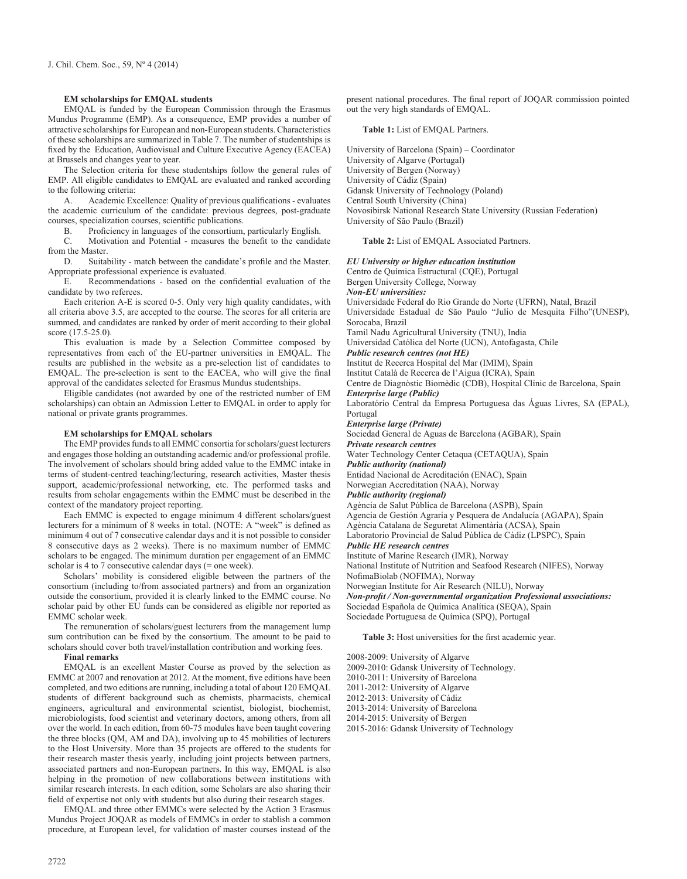# **EM scholarships for EMQAL students**

EMQAL is funded by the European Commission through the Erasmus Mundus Programme (EMP). As a consequence, EMP provides a number of attractive scholarships for European and non-European students. Characteristics of these scholarships are summarized in Table 7. The number of studentships is fixed by the Education, Audiovisual and Culture Executive Agency (EACEA) at Brussels and changes year to year.

The Selection criteria for these studentships follow the general rules of EMP. All eligible candidates to EMQAL are evaluated and ranked according to the following criteria:

A. Academic Excellence: Quality of previous qualifications - evaluates the academic curriculum of the candidate: previous degrees, post-graduate courses, specialization courses, scientific publications.

B. Proficiency in languages of the consortium, particularly English.<br>C. Motivation and Potential - measures the benefit to the candida

Motivation and Potential - measures the benefit to the candidate from the Master.

D. Suitability - match between the candidate's profile and the Master. Appropriate professional experience is evaluated.

E. Recommendations - based on the confidential evaluation of the candidate by two referees.

Each criterion A-E is scored 0-5. Only very high quality candidates, with all criteria above 3.5, are accepted to the course. The scores for all criteria are summed, and candidates are ranked by order of merit according to their global score (17.5-25.0).

This evaluation is made by a Selection Committee composed by representatives from each of the EU-partner universities in EMQAL. The results are published in the website as a pre-selection list of candidates to EMQAL. The pre-selection is sent to the EACEA, who will give the final approval of the candidates selected for Erasmus Mundus studentships.

Eligible candidates (not awarded by one of the restricted number of EM scholarships) can obtain an Admission Letter to EMQAL in order to apply for national or private grants programmes.

# **EM scholarships for EMQAL scholars**

The EMP provides funds to all EMMC consortia for scholars/guest lecturers and engages those holding an outstanding academic and/or professional profile. The involvement of scholars should bring added value to the EMMC intake in terms of student-centred teaching/lecturing, research activities, Master thesis support, academic/professional networking, etc. The performed tasks and results from scholar engagements within the EMMC must be described in the context of the mandatory project reporting.

Each EMMC is expected to engage minimum 4 different scholars/guest lecturers for a minimum of 8 weeks in total. (NOTE: A "week" is defined as minimum 4 out of 7 consecutive calendar days and it is not possible to consider 8 consecutive days as 2 weeks). There is no maximum number of EMMC scholars to be engaged. The minimum duration per engagement of an EMMC scholar is 4 to 7 consecutive calendar days (= one week).

Scholars' mobility is considered eligible between the partners of the consortium (including to/from associated partners) and from an organization outside the consortium, provided it is clearly linked to the EMMC course. No scholar paid by other EU funds can be considered as eligible nor reported as EMMC scholar week.

The remuneration of scholars/guest lecturers from the management lump sum contribution can be fixed by the consortium. The amount to be paid to scholars should cover both travel/installation contribution and working fees.

## **Final remarks**

EMQAL is an excellent Master Course as proved by the selection as EMMC at 2007 and renovation at 2012. At the moment, five editions have been completed, and two editions are running, including a total of about 120 EMQAL students of different background such as chemists, pharmacists, chemical engineers, agricultural and environmental scientist, biologist, biochemist, microbiologists, food scientist and veterinary doctors, among others, from all over the world. In each edition, from 60-75 modules have been taught covering the three blocks (QM, AM and DA), involving up to 45 mobilities of lecturers to the Host University. More than 35 projects are offered to the students for their research master thesis yearly, including joint projects between partners, associated partners and non-European partners. In this way, EMQAL is also helping in the promotion of new collaborations between institutions with similar research interests. In each edition, some Scholars are also sharing their field of expertise not only with students but also during their research stages.

EMQAL and three other EMMCs were selected by the Action 3 Erasmus Mundus Project JOQAR as models of EMMCs in order to stablish a common procedure, at European level, for validation of master courses instead of the present national procedures. The final report of JOQAR commission pointed out the very high standards of EMQAL.

#### **Table 1:** List of EMQAL Partners.

University of Barcelona (Spain) – Coordinator University of Algarve (Portugal) University of Bergen (Norway) University of Cádiz (Spain) Gdansk University of Technology (Poland) Central South University (China) Novosibirsk National Research State University (Russian Federation) University of São Paulo (Brazil)

**Table 2:** List of EMQAL Associated Partners.

## *EU University or higher education institution*

Centro de Química Estructural (CQE), Portugal Bergen University College, Norway

#### *Non-EU universities:*

Universidade Federal do Rio Grande do Norte (UFRN), Natal, Brazil Universidade Estadual de São Paulo "Julio de Mesquita Filho"(UNESP), Sorocaba, Brazil

Tamil Nadu Agricultural University (TNU), India Universidad Católica del Norte (UCN), Antofagasta, Chile

#### *Public research centres (not HE)*

Institut de Recerca Hospital del Mar (IMIM), Spain

Institut Català de Recerca de l'Aigua (ICRA), Spain

Centre de Diagnòstic Biomèdic (CDB), Hospital Clínic de Barcelona, Spain *Enterprise large (Public)*

Laboratório Central da Empresa Portuguesa das Águas Livres, SA (EPAL), Portugal

#### *Enterprise large (Private)*

Sociedad General de Aguas de Barcelona (AGBAR), Spain

## *Private research centres*

Water Technology Center Cetaqua (CETAQUA), Spain

# *Public authority (national)*

Entidad Nacional de Acreditación (ENAC), Spain

Norwegian Accreditation (NAA), Norway

#### *Public authority (regional)*

Agència de Salut Pública de Barcelona (ASPB), Spain

Agencia de Gestión Agraria y Pesquera de Andalucía (AGAPA), Spain

#### Agència Catalana de Seguretat Alimentària (ACSA), Spain

Laboratorio Provincial de Salud Pública de Cádiz (LPSPC), Spain

# *Public HE research centres*

Institute of Marine Research (IMR), Norway

National Institute of Nutrition and Seafood Research (NIFES), Norway NofimaBiolab (NOFIMA), Norway

Norwegian Institute for Air Research (NILU), Norway

*Non-profit / Non-governmental organization Professional associations:* Sociedad Española de Química Analítica (SEQA), Spain Sociedade Portuguesa de Química (SPQ), Portugal

#### **Table 3:** Host universities for the first academic year.

2008-2009: University of Algarve

2009-2010: Gdansk University of Technology.

2010-2011: University of Barcelona

2011-2012: University of Algarve

#### 2012-2013: University of Cádiz

2013-2014: University of Barcelona

2014-2015: University of Bergen

2015-2016: Gdansk University of Technology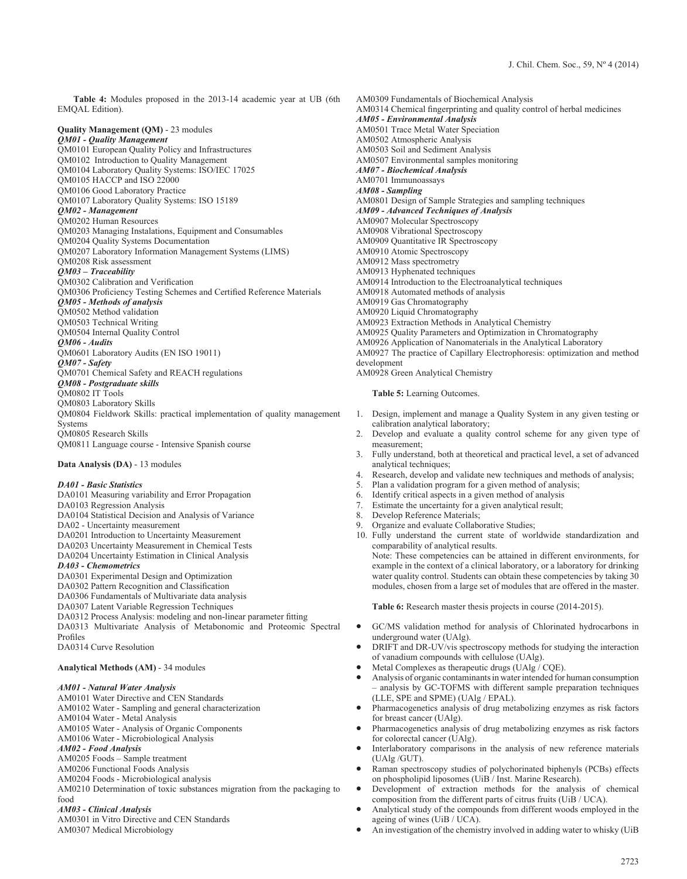**Table 4:** Modules proposed in the 2013-14 academic year at UB (6th EMQAL Edition).

# **Quality Management (QM)** - 23 modules

*QM01 - Quality Management* QM0101 European Quality Policy and Infrastructures QM0102 Introduction to Quality Management QM0104 Laboratory Quality Systems: ISO/IEC 17025 QM0105 HACCP and ISO 22000 QM0106 Good Laboratory Practice QM0107 Laboratory Quality Systems: ISO 15189 *QM02 - Management* QM0202 Human Resources QM0203 Managing Instalations, Equipment and Consumables QM0204 Quality Systems Documentation QM0207 Laboratory Information Management Systems (LIMS) QM0208 Risk assessment *QM03 – Traceability* QM0302 Calibration and Verification QM0306 Proficiency Testing Schemes and Certified Reference Materials *QM05 - Methods of analysis* QM0502 Method validation QM0503 Technical Writing QM0504 Internal Quality Control *QM06 - Audits* QM0601 Laboratory Audits (EN ISO 19011) *QM07 - Safety* QM0701 Chemical Safety and REACH regulations *QM08 - Postgraduate skills* QM0802 IT Tools QM0803 Laboratory Skills QM0804 Fieldwork Skills: practical implementation of quality management **Systems** QM0805 Research Skills QM0811 Language course - Intensive Spanish course

#### **Data Analysis (DA)** - 13 modules

#### *DA01 - Basic Statistics*

DA0101 Measuring variability and Error Propagation DA0103 Regression Analysis DA0104 Statistical Decision and Analysis of Variance DA02 - Uncertainty measurement DA0201 Introduction to Uncertainty Measurement DA0203 Uncertainty Measurement in Chemical Tests DA0204 Uncertainty Estimation in Clinical Analysis *DA03 - Chemometrics* DA0301 Experimental Design and Optimization DA0302 Pattern Recognition and Classification DA0306 Fundamentals of Multivariate data analysis DA0307 Latent Variable Regression Techniques DA0312 Process Analysis: modeling and non-linear parameter fitting DA0313 Multivariate Analysis of Metabonomic and Proteomic Spectral Profiles DA0314 Curve Resolution

#### **Analytical Methods (AM)** - 34 modules

## *AM01 - Natural Water Analysis*

AM0101 Water Directive and CEN Standards

- AM0102 Water Sampling and general characterization AM0104 Water - Metal Analysis
- AM0105 Water Analysis of Organic Components

AM0106 Water - Microbiological Analysis

*AM02 - Food Analysis*

- AM0205 Foods Sample treatment
- AM0206 Functional Foods Analysis
- AM0204 Foods Microbiological analysis

AM0210 Determination of toxic substances migration from the packaging to food

# *AM03 - Clinical Analysis*

AM0301 in Vitro Directive and CEN Standards AM0307 Medical Microbiology

AM0309 Fundamentals of Biochemical Analysis AM0314 Chemical fingerprinting and quality control of herbal medicines *AM05 - Environmental Analysis* AM0501 Trace Metal Water Speciation AM0502 Atmospheric Analysis AM0503 Soil and Sediment Analysis AM0507 Environmental samples monitoring *AM07 - Biochemical Analysis* AM0701 Immunoassays *AM08 - Sampling* AM0801 Design of Sample Strategies and sampling techniques *AM09 - Advanced Techniques of Analysis* AM0907 Molecular Spectroscopy AM0908 Vibrational Spectroscopy AM0909 Quantitative IR Spectroscopy AM0910 Atomic Spectroscopy AM0912 Mass spectrometry AM0913 Hyphenated techniques AM0914 Introduction to the Electroanalytical techniques AM0918 Automated methods of analysis AM0919 Gas Chromatography AM0920 Liquid Chromatography AM0923 Extraction Methods in Analytical Chemistry AM0925 Quality Parameters and Optimization in Chromatography AM0926 Application of Nanomaterials in the Analytical Laboratory AM0927 The practice of Capillary Electrophoresis: optimization and method development

AM0928 Green Analytical Chemistry

**Table 5:** Learning Outcomes.

- 1. Design, implement and manage a Quality System in any given testing or calibration analytical laboratory;
- 2. Develop and evaluate a quality control scheme for any given type of measurement;
- 3. Fully understand, both at theoretical and practical level, a set of advanced analytical techniques;
- 4. Research, develop and validate new techniques and methods of analysis;
- 5. Plan a validation program for a given method of analysis;
- 6. Identify critical aspects in a given method of analysis
- 7. Estimate the uncertainty for a given analytical result;<br>8. Develop Reference Materials:
- Develop Reference Materials;
- 9. Organize and evaluate Collaborative Studies;
- 10. Fully understand the current state of worldwide standardization and comparability of analytical results.

Note: These competencies can be attained in different environments, for example in the context of a clinical laboratory, or a laboratory for drinking water quality control. Students can obtain these competencies by taking 30 modules, chosen from a large set of modules that are offered in the master.

**Table 6:** Research master thesis projects in course (2014-2015).

- GC/MS validation method for analysis of Chlorinated hydrocarbons in underground water (UAlg).
- DRIFT and DR-UV/vis spectroscopy methods for studying the interaction of vanadium compounds with cellulose (UAlg).
- Metal Complexes as therapeutic drugs (UAlg / CQE).
- Analysis of organic contaminants in water intended for human consumption – analysis by GC-TOFMS with different sample preparation techniques (LLE, SPE and SPME) (UAlg / EPAL).
- Pharmacogenetics analysis of drug metabolizing enzymes as risk factors for breast cancer (UAlg).
- Pharmacogenetics analysis of drug metabolizing enzymes as risk factors for colorectal cancer (UAlg).
- Interlaboratory comparisons in the analysis of new reference materials (UAlg /GUT).
- Raman spectroscopy studies of polychorinated biphenyls (PCBs) effects on phospholipid liposomes (UiB / Inst. Marine Research).
- Development of extraction methods for the analysis of chemical composition from the different parts of citrus fruits (UiB / UCA).
- Analytical study of the compounds from different woods employed in the ageing of wines (UiB / UCA).
- An investigation of the chemistry involved in adding water to whisky (UiB